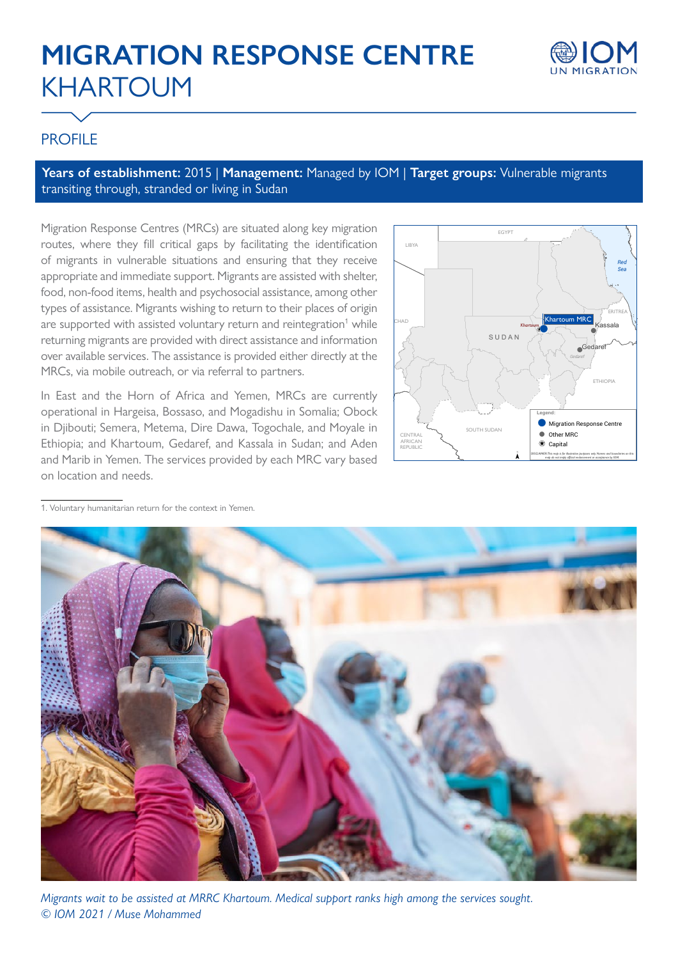# **MIGRATION RESPONSE CENTRE** KHARTOUM



# **PROFILE**

**Years of establishment:** 2015 | **Management:** Managed by IOM | **Target groups:** Vulnerable migrants transiting through, stranded or living in Sudan

Migration Response Centres (MRCs) are situated along key migration routes, where they fill critical gaps by facilitating the identification of migrants in vulnerable situations and ensuring that they receive appropriate and immediate support. Migrants are assisted with shelter, food, non-food items, health and psychosocial assistance, among other types of assistance. Migrants wishing to return to their places of origin are supported with assisted voluntary return and reintegration<sup>1</sup> while returning migrants are provided with direct assistance and information over available services. The assistance is provided either directly at the MRCs, via mobile outreach, or via referral to partners.

In East and the Horn of Africa and Yemen, MRCs are currently operational in Hargeisa, Bossaso, and Mogadishu in Somalia; Obock in Djibouti; Semera, Metema, Dire Dawa, Togochale, and Moyale in Ethiopia; and Khartoum, Gedaref, and Kassala in Sudan; and Aden and Marib in Yemen. The services provided by each MRC vary based on location and needs.



1. Voluntary humanitarian return for the context in Yemen.



*Migrants wait to be assisted at MRRC Khartoum. Medical support ranks high among the services sought. © IOM 2021 / Muse Mohammed*